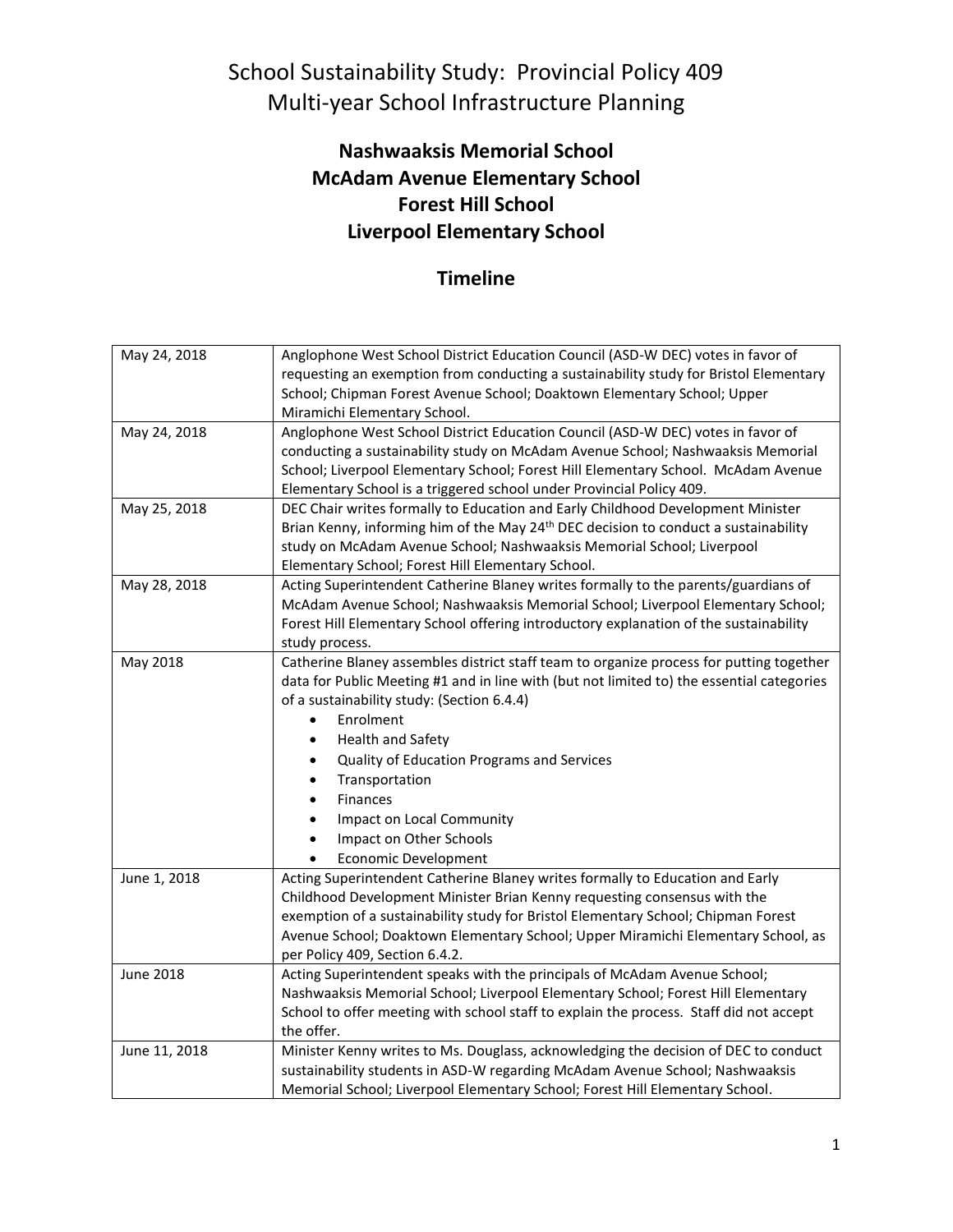### School Sustainability Study: Provincial Policy 409 Multi-year School Infrastructure Planning

#### **Nashwaaksis Memorial School McAdam Avenue Elementary School Forest Hill School Liverpool Elementary School**

### **Timeline**

| May 24, 2018     | Anglophone West School District Education Council (ASD-W DEC) votes in favor of                      |
|------------------|------------------------------------------------------------------------------------------------------|
|                  | requesting an exemption from conducting a sustainability study for Bristol Elementary                |
|                  | School; Chipman Forest Avenue School; Doaktown Elementary School; Upper                              |
|                  | Miramichi Elementary School.                                                                         |
| May 24, 2018     | Anglophone West School District Education Council (ASD-W DEC) votes in favor of                      |
|                  | conducting a sustainability study on McAdam Avenue School; Nashwaaksis Memorial                      |
|                  | School; Liverpool Elementary School; Forest Hill Elementary School. McAdam Avenue                    |
|                  | Elementary School is a triggered school under Provincial Policy 409.                                 |
| May 25, 2018     | DEC Chair writes formally to Education and Early Childhood Development Minister                      |
|                  | Brian Kenny, informing him of the May 24 <sup>th</sup> DEC decision to conduct a sustainability      |
|                  | study on McAdam Avenue School; Nashwaaksis Memorial School; Liverpool                                |
|                  | Elementary School; Forest Hill Elementary School.                                                    |
| May 28, 2018     | Acting Superintendent Catherine Blaney writes formally to the parents/guardians of                   |
|                  | McAdam Avenue School; Nashwaaksis Memorial School; Liverpool Elementary School;                      |
|                  | Forest Hill Elementary School offering introductory explanation of the sustainability                |
|                  | study process.                                                                                       |
| May 2018         | Catherine Blaney assembles district staff team to organize process for putting together              |
|                  | data for Public Meeting #1 and in line with (but not limited to) the essential categories            |
|                  | of a sustainability study: (Section 6.4.4)                                                           |
|                  | Enrolment<br>$\bullet$                                                                               |
|                  | <b>Health and Safety</b>                                                                             |
|                  | Quality of Education Programs and Services                                                           |
|                  | Transportation                                                                                       |
|                  | Finances                                                                                             |
|                  | Impact on Local Community                                                                            |
|                  | Impact on Other Schools                                                                              |
|                  |                                                                                                      |
|                  | <b>Economic Development</b>                                                                          |
| June 1, 2018     | Acting Superintendent Catherine Blaney writes formally to Education and Early                        |
|                  | Childhood Development Minister Brian Kenny requesting consensus with the                             |
|                  | exemption of a sustainability study for Bristol Elementary School; Chipman Forest                    |
|                  | Avenue School; Doaktown Elementary School; Upper Miramichi Elementary School, as                     |
|                  | per Policy 409, Section 6.4.2.                                                                       |
| <b>June 2018</b> | Acting Superintendent speaks with the principals of McAdam Avenue School;                            |
|                  | Nashwaaksis Memorial School; Liverpool Elementary School; Forest Hill Elementary                     |
|                  | School to offer meeting with school staff to explain the process. Staff did not accept<br>the offer. |
| June 11, 2018    | Minister Kenny writes to Ms. Douglass, acknowledging the decision of DEC to conduct                  |
|                  | sustainability students in ASD-W regarding McAdam Avenue School; Nashwaaksis                         |
|                  | Memorial School; Liverpool Elementary School; Forest Hill Elementary School.                         |
|                  |                                                                                                      |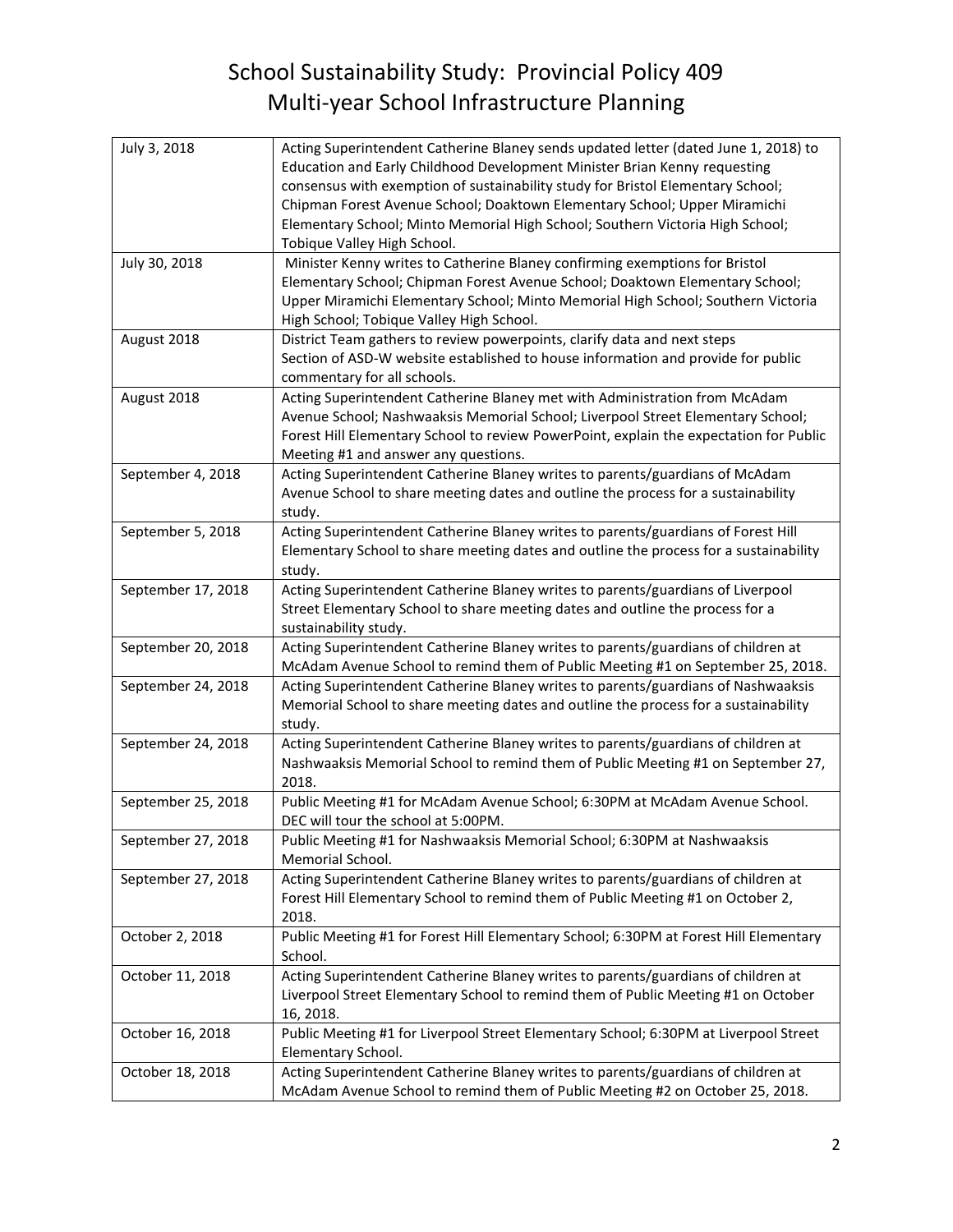# School Sustainability Study: Provincial Policy 409 Multi-year School Infrastructure Planning

| July 3, 2018       | Acting Superintendent Catherine Blaney sends updated letter (dated June 1, 2018) to<br>Education and Early Childhood Development Minister Brian Kenny requesting           |
|--------------------|----------------------------------------------------------------------------------------------------------------------------------------------------------------------------|
|                    | consensus with exemption of sustainability study for Bristol Elementary School;                                                                                            |
|                    | Chipman Forest Avenue School; Doaktown Elementary School; Upper Miramichi                                                                                                  |
|                    | Elementary School; Minto Memorial High School; Southern Victoria High School;<br>Tobique Valley High School.                                                               |
| July 30, 2018      | Minister Kenny writes to Catherine Blaney confirming exemptions for Bristol<br>Elementary School; Chipman Forest Avenue School; Doaktown Elementary School;                |
|                    | Upper Miramichi Elementary School; Minto Memorial High School; Southern Victoria<br>High School; Tobique Valley High School.                                               |
| August 2018        | District Team gathers to review powerpoints, clarify data and next steps                                                                                                   |
|                    | Section of ASD-W website established to house information and provide for public                                                                                           |
|                    | commentary for all schools.                                                                                                                                                |
| August 2018        | Acting Superintendent Catherine Blaney met with Administration from McAdam                                                                                                 |
|                    | Avenue School; Nashwaaksis Memorial School; Liverpool Street Elementary School;                                                                                            |
|                    | Forest Hill Elementary School to review PowerPoint, explain the expectation for Public                                                                                     |
|                    | Meeting #1 and answer any questions.                                                                                                                                       |
| September 4, 2018  | Acting Superintendent Catherine Blaney writes to parents/guardians of McAdam                                                                                               |
|                    | Avenue School to share meeting dates and outline the process for a sustainability                                                                                          |
|                    | study.                                                                                                                                                                     |
| September 5, 2018  | Acting Superintendent Catherine Blaney writes to parents/guardians of Forest Hill<br>Elementary School to share meeting dates and outline the process for a sustainability |
|                    | study.                                                                                                                                                                     |
| September 17, 2018 | Acting Superintendent Catherine Blaney writes to parents/guardians of Liverpool                                                                                            |
|                    | Street Elementary School to share meeting dates and outline the process for a                                                                                              |
|                    | sustainability study.                                                                                                                                                      |
| September 20, 2018 | Acting Superintendent Catherine Blaney writes to parents/guardians of children at                                                                                          |
|                    | McAdam Avenue School to remind them of Public Meeting #1 on September 25, 2018.                                                                                            |
| September 24, 2018 | Acting Superintendent Catherine Blaney writes to parents/guardians of Nashwaaksis                                                                                          |
|                    | Memorial School to share meeting dates and outline the process for a sustainability                                                                                        |
|                    | study.                                                                                                                                                                     |
| September 24, 2018 | Acting Superintendent Catherine Blaney writes to parents/guardians of children at                                                                                          |
|                    | Nashwaaksis Memorial School to remind them of Public Meeting #1 on September 27,                                                                                           |
|                    | 2018.                                                                                                                                                                      |
| September 25, 2018 | Public Meeting #1 for McAdam Avenue School; 6:30PM at McAdam Avenue School.<br>DEC will tour the school at 5:00PM.                                                         |
| September 27, 2018 | Public Meeting #1 for Nashwaaksis Memorial School; 6:30PM at Nashwaaksis                                                                                                   |
|                    | Memorial School.                                                                                                                                                           |
| September 27, 2018 | Acting Superintendent Catherine Blaney writes to parents/guardians of children at                                                                                          |
|                    | Forest Hill Elementary School to remind them of Public Meeting #1 on October 2,                                                                                            |
|                    | 2018.                                                                                                                                                                      |
| October 2, 2018    | Public Meeting #1 for Forest Hill Elementary School; 6:30PM at Forest Hill Elementary                                                                                      |
|                    | School.                                                                                                                                                                    |
| October 11, 2018   | Acting Superintendent Catherine Blaney writes to parents/guardians of children at                                                                                          |
|                    | Liverpool Street Elementary School to remind them of Public Meeting #1 on October                                                                                          |
|                    | 16, 2018.                                                                                                                                                                  |
| October 16, 2018   | Public Meeting #1 for Liverpool Street Elementary School; 6:30PM at Liverpool Street<br>Elementary School.                                                                 |
| October 18, 2018   | Acting Superintendent Catherine Blaney writes to parents/guardians of children at                                                                                          |
|                    | McAdam Avenue School to remind them of Public Meeting #2 on October 25, 2018.                                                                                              |